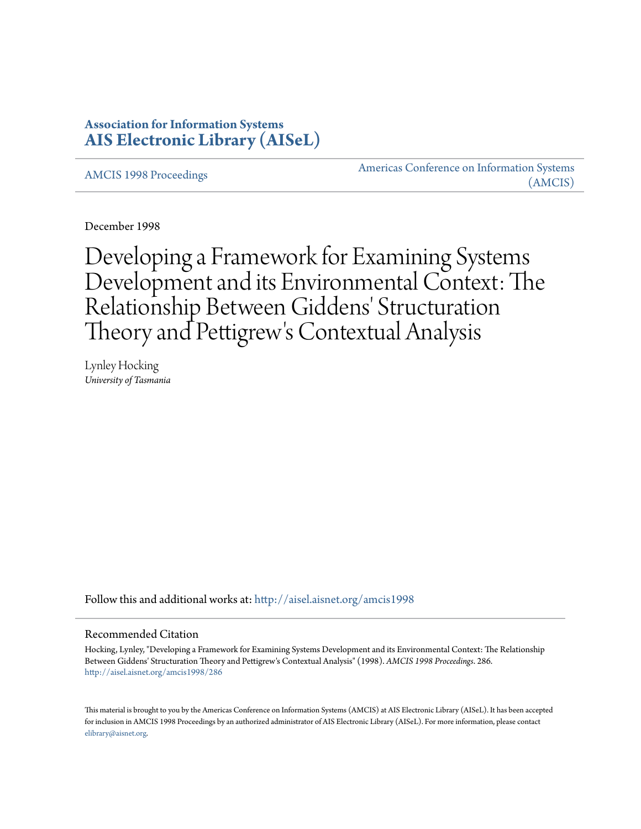## **Association for Information Systems [AIS Electronic Library \(AISeL\)](http://aisel.aisnet.org?utm_source=aisel.aisnet.org%2Famcis1998%2F286&utm_medium=PDF&utm_campaign=PDFCoverPages)**

[AMCIS 1998 Proceedings](http://aisel.aisnet.org/amcis1998?utm_source=aisel.aisnet.org%2Famcis1998%2F286&utm_medium=PDF&utm_campaign=PDFCoverPages)

[Americas Conference on Information Systems](http://aisel.aisnet.org/amcis?utm_source=aisel.aisnet.org%2Famcis1998%2F286&utm_medium=PDF&utm_campaign=PDFCoverPages) [\(AMCIS\)](http://aisel.aisnet.org/amcis?utm_source=aisel.aisnet.org%2Famcis1998%2F286&utm_medium=PDF&utm_campaign=PDFCoverPages)

December 1998

Developing a Framework for Examining Systems Development and its Environmental Context: The Relationship Between Giddens' Structuration Theory and Pettigrew 's Contextual Analysis

Lynley Hocking *University of Tasmania*

Follow this and additional works at: [http://aisel.aisnet.org/amcis1998](http://aisel.aisnet.org/amcis1998?utm_source=aisel.aisnet.org%2Famcis1998%2F286&utm_medium=PDF&utm_campaign=PDFCoverPages)

## Recommended Citation

Hocking, Lynley, "Developing a Framework for Examining Systems Development and its Environmental Context: The Relationship Between Giddens' Structuration Theory and Pettigrew's Contextual Analysis" (1998). *AMCIS 1998 Proceedings*. 286. [http://aisel.aisnet.org/amcis1998/286](http://aisel.aisnet.org/amcis1998/286?utm_source=aisel.aisnet.org%2Famcis1998%2F286&utm_medium=PDF&utm_campaign=PDFCoverPages)

This material is brought to you by the Americas Conference on Information Systems (AMCIS) at AIS Electronic Library (AISeL). It has been accepted for inclusion in AMCIS 1998 Proceedings by an authorized administrator of AIS Electronic Library (AISeL). For more information, please contact [elibrary@aisnet.org.](mailto:elibrary@aisnet.org%3E)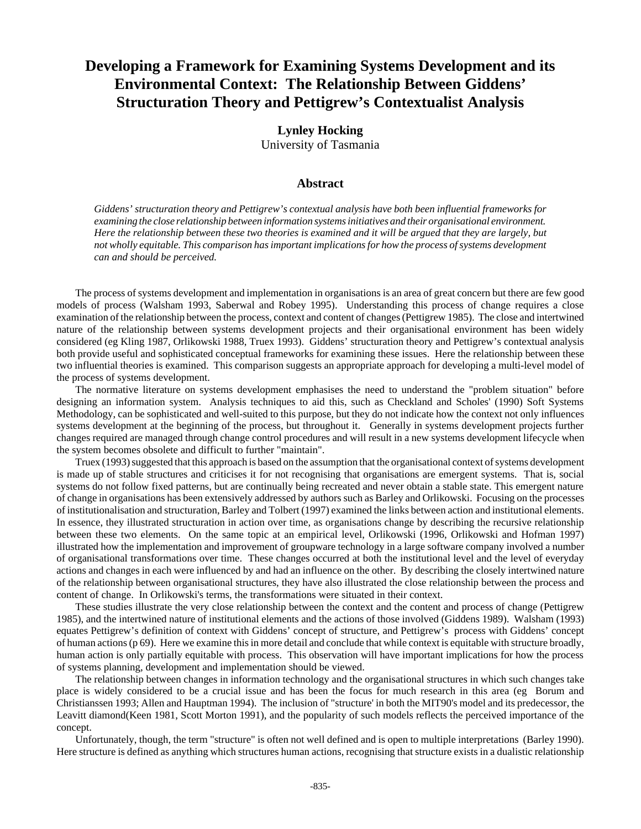# **Developing a Framework for Examining Systems Development and its Environmental Context: The Relationship Between Giddens' Structuration Theory and Pettigrew's Contextualist Analysis**

**Lynley Hocking** University of Tasmania

## **Abstract**

*Giddens' structuration theory and Pettigrew's contextual analysis have both been influential frameworks for examining the close relationship between information systems initiatives and their organisational environment. Here the relationship between these two theories is examined and it will be argued that they are largely, but not wholly equitable. This comparison has important implications for how the process of systems development can and should be perceived.*

The process of systems development and implementation in organisations is an area of great concern but there are few good models of process (Walsham 1993, Saberwal and Robey 1995). Understanding this process of change requires a close examination of the relationship between the process, context and content of changes (Pettigrew 1985). The close and intertwined nature of the relationship between systems development projects and their organisational environment has been widely considered (eg Kling 1987, Orlikowski 1988, Truex 1993). Giddens' structuration theory and Pettigrew's contextual analysis both provide useful and sophisticated conceptual frameworks for examining these issues. Here the relationship between these two influential theories is examined. This comparison suggests an appropriate approach for developing a multi-level model of the process of systems development.

The normative literature on systems development emphasises the need to understand the "problem situation" before designing an information system. Analysis techniques to aid this, such as Checkland and Scholes' (1990) Soft Systems Methodology, can be sophisticated and well-suited to this purpose, but they do not indicate how the context not only influences systems development at the beginning of the process, but throughout it. Generally in systems development projects further changes required are managed through change control procedures and will result in a new systems development lifecycle when the system becomes obsolete and difficult to further "maintain".

Truex (1993) suggested that this approach is based on the assumption that the organisational context of systems development is made up of stable structures and criticises it for not recognising that organisations are emergent systems. That is, social systems do not follow fixed patterns, but are continually being recreated and never obtain a stable state. This emergent nature of change in organisations has been extensively addressed by authors such as Barley and Orlikowski. Focusing on the processes of institutionalisation and structuration, Barley and Tolbert (1997) examined the links between action and institutional elements. In essence, they illustrated structuration in action over time, as organisations change by describing the recursive relationship between these two elements. On the same topic at an empirical level, Orlikowski (1996, Orlikowski and Hofman 1997) illustrated how the implementation and improvement of groupware technology in a large software company involved a number of organisational transformations over time. These changes occurred at both the institutional level and the level of everyday actions and changes in each were influenced by and had an influence on the other. By describing the closely intertwined nature of the relationship between organisational structures, they have also illustrated the close relationship between the process and content of change. In Orlikowski's terms, the transformations were situated in their context.

These studies illustrate the very close relationship between the context and the content and process of change (Pettigrew 1985), and the intertwined nature of institutional elements and the actions of those involved (Giddens 1989). Walsham (1993) equates Pettigrew's definition of context with Giddens' concept of structure, and Pettigrew's process with Giddens' concept of human actions (p 69). Here we examine this in more detail and conclude that while context is equitable with structure broadly, human action is only partially equitable with process. This observation will have important implications for how the process of systems planning, development and implementation should be viewed.

The relationship between changes in information technology and the organisational structures in which such changes take place is widely considered to be a crucial issue and has been the focus for much research in this area (eg Borum and Christianssen 1993; Allen and Hauptman 1994). The inclusion of "structure' in both the MIT90's model and its predecessor, the Leavitt diamond(Keen 1981, Scott Morton 1991), and the popularity of such models reflects the perceived importance of the concept.

Unfortunately, though, the term "structure" is often not well defined and is open to multiple interpretations (Barley 1990). Here structure is defined as anything which structures human actions, recognising that structure exists in a dualistic relationship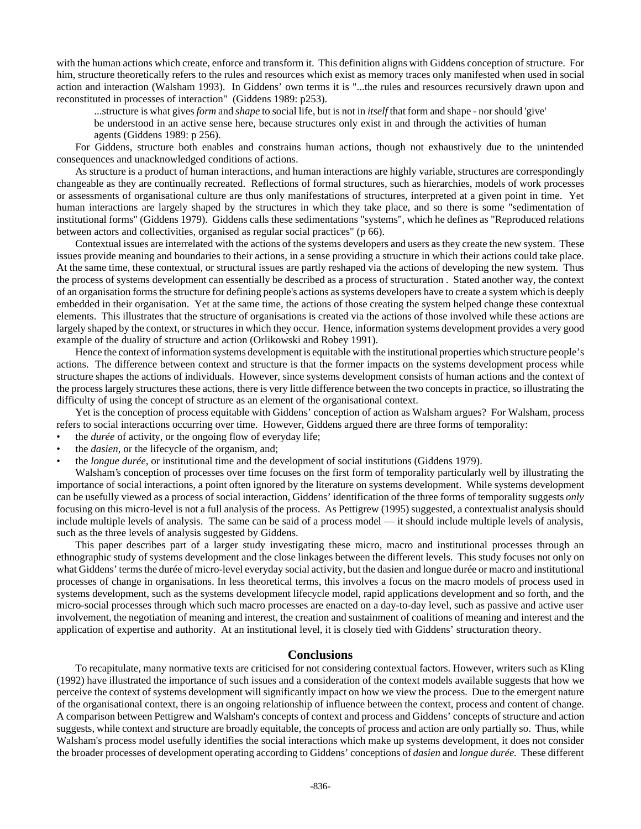with the human actions which create, enforce and transform it. This definition aligns with Giddens conception of structure. For him, structure theoretically refers to the rules and resources which exist as memory traces only manifested when used in social action and interaction (Walsham 1993). In Giddens' own terms it is "...the rules and resources recursively drawn upon and reconstituted in processes of interaction" (Giddens 1989: p253).

...structure is what gives *form* and *shape* to social life, but is not in *itself* that form and shape - nor should 'give' be understood in an active sense here, because structures only exist in and through the activities of human agents (Giddens 1989: p 256).

For Giddens, structure both enables and constrains human actions, though not exhaustively due to the unintended consequences and unacknowledged conditions of actions.

As structure is a product of human interactions, and human interactions are highly variable, structures are correspondingly changeable as they are continually recreated. Reflections of formal structures, such as hierarchies, models of work processes or assessments of organisational culture are thus only manifestations of structures, interpreted at a given point in time. Yet human interactions are largely shaped by the structures in which they take place, and so there is some "sedimentation of institutional forms" (Giddens 1979). Giddens calls these sedimentations "systems", which he defines as "Reproduced relations between actors and collectivities, organised as regular social practices" (p 66).

Contextual issues are interrelated with the actions of the systems developers and users as they create the new system. These issues provide meaning and boundaries to their actions, in a sense providing a structure in which their actions could take place. At the same time, these contextual, or structural issues are partly reshaped via the actions of developing the new system. Thus the process of systems development can essentially be described as a process of structuration . Stated another way, the context of an organisation forms the structure for defining people's actions as systems developers have to create a system which is deeply embedded in their organisation. Yet at the same time, the actions of those creating the system helped change these contextual elements. This illustrates that the structure of organisations is created via the actions of those involved while these actions are largely shaped by the context, or structures in which they occur. Hence, information systems development provides a very good example of the duality of structure and action (Orlikowski and Robey 1991).

Hence the context of information systems development is equitable with the institutional properties which structure people's actions. The difference between context and structure is that the former impacts on the systems development process while structure shapes the actions of individuals. However, since systems development consists of human actions and the context of the process largely structures these actions, there is very little difference between the two concepts in practice, so illustrating the difficulty of using the concept of structure as an element of the organisational context.

Yet is the conception of process equitable with Giddens' conception of action as Walsham argues? For Walsham, process refers to social interactions occurring over time. However, Giddens argued there are three forms of temporality:

- the *durée* of activity, or the ongoing flow of everyday life;
- the *dasien*, or the lifecycle of the organism, and;
- the *longue durée*, or institutional time and the development of social institutions (Giddens 1979).

Walsham's conception of processes over time focuses on the first form of temporality particularly well by illustrating the importance of social interactions, a point often ignored by the literature on systems development. While systems development can be usefully viewed as a process of social interaction, Giddens' identification of the three forms of temporality suggests *only* focusing on this micro-level is not a full analysis of the process. As Pettigrew (1995) suggested, a contextualist analysis should include multiple levels of analysis. The same can be said of a process model — it should include multiple levels of analysis, such as the three levels of analysis suggested by Giddens.

This paper describes part of a larger study investigating these micro, macro and institutional processes through an ethnographic study of systems development and the close linkages between the different levels. This study focuses not only on what Giddens' terms the durée of micro-level everyday social activity, but the dasien and longue durée or macro and institutional processes of change in organisations. In less theoretical terms, this involves a focus on the macro models of process used in systems development, such as the systems development lifecycle model, rapid applications development and so forth, and the micro-social processes through which such macro processes are enacted on a day-to-day level, such as passive and active user involvement, the negotiation of meaning and interest, the creation and sustainment of coalitions of meaning and interest and the application of expertise and authority. At an institutional level, it is closely tied with Giddens' structuration theory.

#### **Conclusions**

To recapitulate, many normative texts are criticised for not considering contextual factors. However, writers such as Kling (1992) have illustrated the importance of such issues and a consideration of the context models available suggests that how we perceive the context of systems development will significantly impact on how we view the process. Due to the emergent nature of the organisational context, there is an ongoing relationship of influence between the context, process and content of change. A comparison between Pettigrew and Walsham's concepts of context and process and Giddens' concepts of structure and action suggests, while context and structure are broadly equitable, the concepts of process and action are only partially so. Thus, while Walsham's process model usefully identifies the social interactions which make up systems development, it does not consider the broader processes of development operating according to Giddens' conceptions of *dasien* and *longue durée.* These different